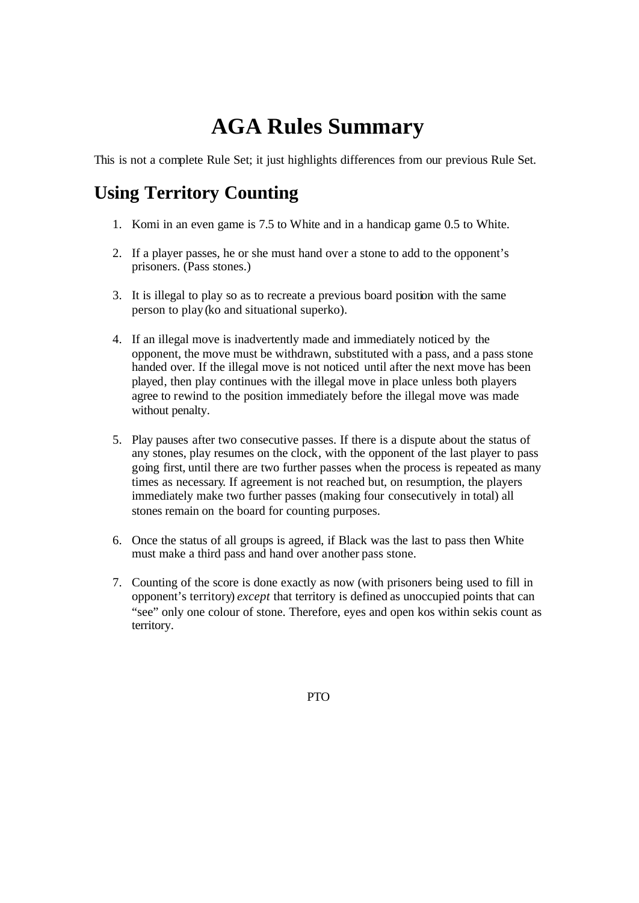## **AGA Rules Summary**

This is not a complete Rule Set; it just highlights differences from our previous Rule Set.

## **Using Territory Counting**

- 1. Komi in an even game is 7.5 to White and in a handicap game 0.5 to White.
- 2. If a player passes, he or she must hand over a stone to add to the opponent's prisoners. (Pass stones.)
- 3. It is illegal to play so as to recreate a previous board position with the same person to play (ko and situational superko).
- 4. If an illegal move is inadvertently made and immediately noticed by the opponent, the move must be withdrawn, substituted with a pass, and a pass stone handed over. If the illegal move is not noticed until after the next move has been played, then play continues with the illegal move in place unless both players agree to rewind to the position immediately before the illegal move was made without penalty.
- 5. Play pauses after two consecutive passes. If there is a dispute about the status of any stones, play resumes on the clock, with the opponent of the last player to pass going first, until there are two further passes when the process is repeated as many times as necessary. If agreement is not reached but, on resumption, the players immediately make two further passes (making four consecutively in total) all stones remain on the board for counting purposes.
- 6. Once the status of all groups is agreed, if Black was the last to pass then White must make a third pass and hand over another pass stone.
- 7. Counting of the score is done exactly as now (with prisoners being used to fill in opponent's territory) *except* that territory is defined as unoccupied points that can "see" only one colour of stone. Therefore, eyes and open kos within sekis count as territory.

PTO